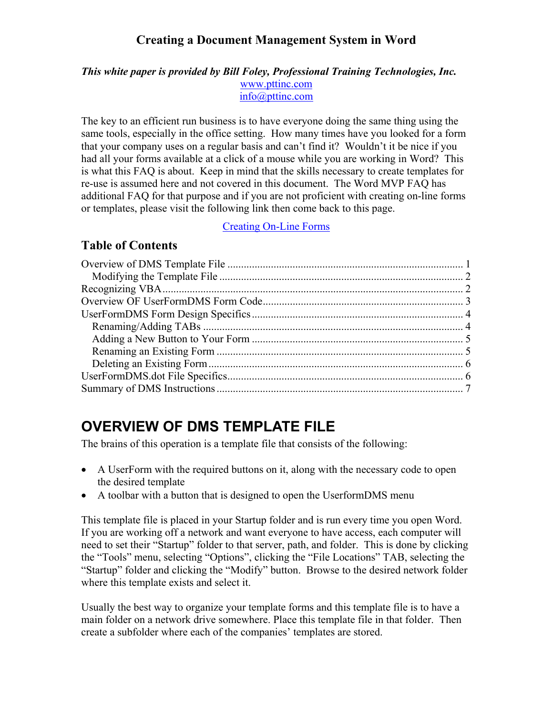#### <span id="page-0-0"></span>*This white paper is provided by Bill Foley, Professional Training Technologies, Inc.* [www.pttinc.com](http://www.pttinc.com/) [info@pttinc.com](mailto:info@pttinc.com)

The key to an efficient run business is to have everyone doing the same thing using the same tools, especially in the office setting. How many times have you looked for a form that your company uses on a regular basis and can't find it? Wouldn't it be nice if you had all your forms available at a click of a mouse while you are working in Word? This is what this FAQ is about. Keep in mind that the skills necessary to create templates for re-use is assumed here and not covered in this document. The Word MVP FAQ has additional FAQ for that purpose and if you are not proficient with creating on-line forms or templates, please visit the following link then come back to this page.

[Creating On-Line Forms](http://word.mvps.org/FAQs/TblsFldsFms/LinesInForms.htm)

#### **Table of Contents**

# **OVERVIEW OF DMS TEMPLATE FILE**

The brains of this operation is a template file that consists of the following:

- A UserForm with the required buttons on it, along with the necessary code to open the desired template
- A toolbar with a button that is designed to open the Userform DMS menu

This template file is placed in your Startup folder and is run every time you open Word. If you are working off a network and want everyone to have access, each computer will need to set their "Startup" folder to that server, path, and folder. This is done by clicking the "Tools" menu, selecting "Options", clicking the "File Locations" TAB, selecting the "Startup" folder and clicking the "Modify" button. Browse to the desired network folder where this template exists and select it.

Usually the best way to organize your template forms and this template file is to have a main folder on a network drive somewhere. Place this template file in that folder. Then create a subfolder where each of the companies' templates are stored.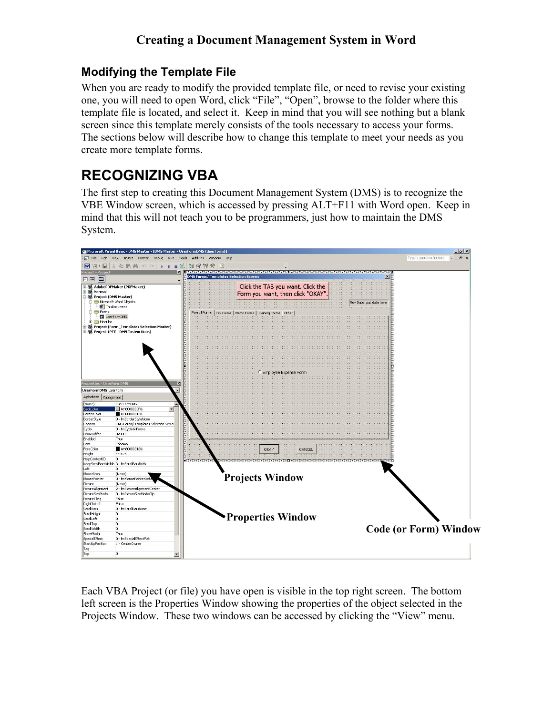#### <span id="page-1-0"></span>**Modifying the Template File**

When you are ready to modify the provided template file, or need to revise your existing one, you will need to open Word, click "File", "Open", browse to the folder where this template file is located, and select it. Keep in mind that you will see nothing but a blank screen since this template merely consists of the tools necessary to access your forms. The sections below will describe how to change this template to meet your needs as you create more template forms.

# **RECOGNIZING VBA**

The first step to creating this Document Management System (DMS) is to recognize the VBE Window screen, which is accessed by pressing ALT+F11 with Word open. Keep in mind that this will not teach you to be programmers, just how to maintain the DMS System.



Each VBA Project (or file) you have open is visible in the top right screen. The bottom left screen is the Properties Window showing the properties of the object selected in the Projects Window. These two windows can be accessed by clicking the "View" menu.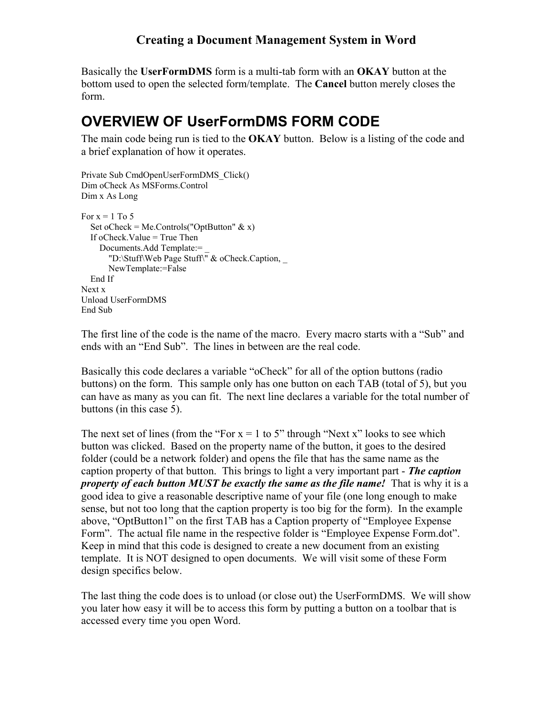<span id="page-2-0"></span>Basically the **UserFormDMS** form is a multi-tab form with an **OKAY** button at the bottom used to open the selected form/template. The **Cancel** button merely closes the form.

## **OVERVIEW OF UserFormDMS FORM CODE**

The main code being run is tied to the **OKAY** button. Below is a listing of the code and a brief explanation of how it operates.

```
Private Sub CmdOpenUserFormDMS_Click() 
Dim oCheck As MSForms.Control 
Dim x As Long 
For x = 1 To 5
```

```
Set oCheck = Me.Controls("OptButton" \& x)
   If oCheck.Value = True Then 
     Documents.Add Template:= _ 
        "D:\Stuff\Web Page Stuff\" & oCheck.Caption, _ 
        NewTemplate:=False 
   End If 
Next x 
Unload UserFormDMS 
End Sub
```
The first line of the code is the name of the macro. Every macro starts with a "Sub" and ends with an "End Sub". The lines in between are the real code.

Basically this code declares a variable "oCheck" for all of the option buttons (radio buttons) on the form. This sample only has one button on each TAB (total of 5), but you can have as many as you can fit. The next line declares a variable for the total number of buttons (in this case 5).

The next set of lines (from the "For  $x = 1$  to 5" through "Next x" looks to see which button was clicked. Based on the property name of the button, it goes to the desired folder (could be a network folder) and opens the file that has the same name as the caption property of that button. This brings to light a very important part - *The caption property of each button MUST be exactly the same as the file name!* That is why it is a good idea to give a reasonable descriptive name of your file (one long enough to make sense, but not too long that the caption property is too big for the form). In the example above, "OptButton1" on the first TAB has a Caption property of "Employee Expense Form". The actual file name in the respective folder is "Employee Expense Form.dot". Keep in mind that this code is designed to create a new document from an existing template. It is NOT designed to open documents. We will visit some of these Form design specifics below.

The last thing the code does is to unload (or close out) the UserFormDMS. We will show you later how easy it will be to access this form by putting a button on a toolbar that is accessed every time you open Word.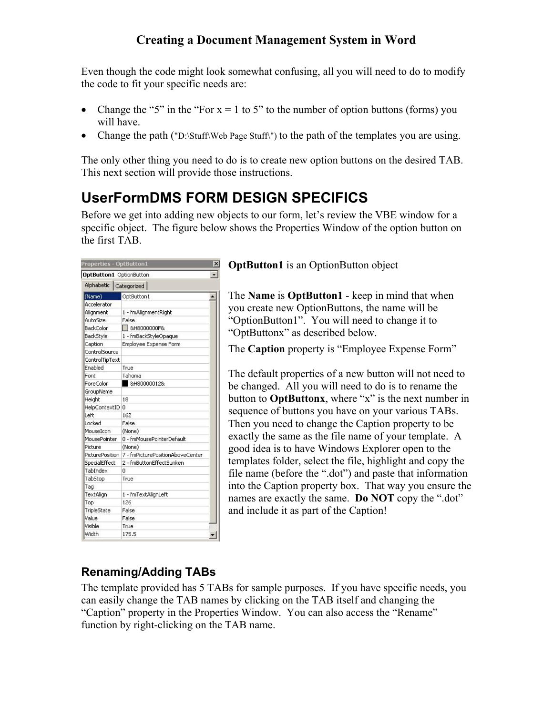<span id="page-3-0"></span>Even though the code might look somewhat confusing, all you will need to do to modify the code to fit your specific needs are:

- Change the "5" in the "For  $x = 1$  to 5" to the number of option buttons (forms) you will have.
- Change the path ("D:\Stuff\Web Page Stuff\") to the path of the templates you are using.

The only other thing you need to do is to create new option buttons on the desired TAB. This next section will provide those instructions.

# **UserFormDMS FORM DESIGN SPECIFICS**

Before we get into adding new objects to our form, let's review the VBE window for a specific object. The figure below shows the Properties Window of the option button on the first TAB.

| <b>Properties - OptButton1</b> |                                  | $\times$ |
|--------------------------------|----------------------------------|----------|
| OptButton1 OptionButton        |                                  |          |
| Alphabetic   Categorized       |                                  |          |
| (Name)                         | OptButton1                       |          |
| Accelerator                    |                                  |          |
| Alignment                      | 1 - fmAlignmentRight             |          |
| AutoSize                       | False                            |          |
| <b>BackColor</b>               | <b>□ 8H8000000F&amp;</b>         |          |
| BackStyle                      | 1 - fmBackStyleOpaque            |          |
| Caption                        | Employee Expense Form            |          |
| ControlSource                  |                                  |          |
| ControlTipText                 |                                  |          |
| Enabled                        | True                             |          |
| Font                           | Tahoma                           |          |
| ForeColor                      | 8H800000128                      |          |
| GroupName                      |                                  |          |
| Height                         | 18                               |          |
| HelpContextID 0                |                                  |          |
| Left                           | 162                              |          |
| Locked                         | False                            |          |
| MouseIcon                      | (None)                           |          |
| MousePointer                   | 0 - fmMousePointerDefault        |          |
| Picture                        | (None)                           |          |
| <b>PicturePosition</b>         | 7 - fmPicturePositionAboveCenter |          |
| SpecialEffect                  | 2 - fmButtonEffectSunken         |          |
| TabIndex                       | n                                |          |
| TabStop                        | True                             |          |
| Tag                            |                                  |          |
| TextAlign                      | 1 - fmTextAlignLeft              |          |
| Top                            | 126                              |          |
| TripleState                    | False                            |          |
| Value                          | False                            |          |
| Visible                        | True                             |          |
| Width                          | 175.5                            |          |

**OptButton1** is an OptionButton object

The **Name** is **OptButton1** - keep in mind that when you create new OptionButtons, the name will be "OptionButton1". You will need to change it to "OptButtonx" as described below.

The **Caption** property is "Employee Expense Form"

The default properties of a new button will not need to be changed. All you will need to do is to rename the button to **OptButtonx**, where "x" is the next number in sequence of buttons you have on your various TABs. Then you need to change the Caption property to be exactly the same as the file name of your template. A good idea is to have Windows Explorer open to the templates folder, select the file, highlight and copy the file name (before the ".dot") and paste that information into the Caption property box. That way you ensure t he names are exactly the same. **Do NOT** copy the ".dot" and include it as part of the Caption!

### **Renaming/Adding TABs**

The template provided has 5 TABs for sample purposes. If you have specific needs, you can easily change the TAB names by clicking on the TAB itself and changing the "Caption" property in the Properties Window. You can also access the "Rename" function by right-clicking on the TAB name.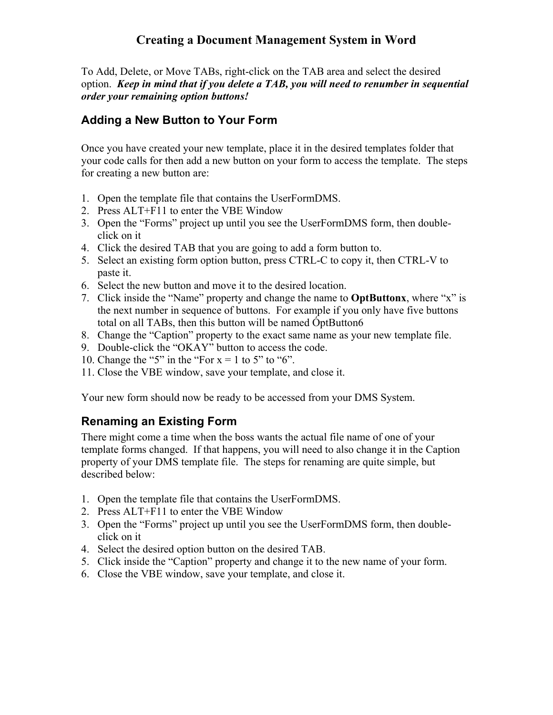<span id="page-4-0"></span>To Add, Delete, or Move TABs, right-click on the TAB area and select the desired option. *Keep in mind that if you delete a TAB, you will need to renumber in sequential order your remaining option buttons!*

#### **Adding a New Button to Your Form**

Once you have created your new template, place it in the desired templates folder that your code calls for then add a new button on your form to access the template. The steps for creating a new button are:

- 1. Open the template file that contains the UserFormDMS.
- 2. Press ALT+F11 to enter the VBE Window
- 3. Open the "Forms" project up until you see the UserFormDMS form, then doubleclick on it
- 4. Click the desired TAB that you are going to add a form button to.
- 5. Select an existing form option button, press CTRL-C to copy it, then CTRL-V to paste it.
- 6. Select the new button and move it to the desired location.
- 7. Click inside the "Name" property and change the name to **OptButtonx**, where "x" is the next number in sequence of buttons. For example if you only have five buttons total on all TABs, then this button will be named ÓptButton6
- 8. Change the "Caption" property to the exact same name as your new template file.
- 9. Double-click the "OKAY" button to access the code.
- 10. Change the "5" in the "For  $x = 1$  to 5" to "6".
- 11. Close the VBE window, save your template, and close it.

Your new form should now be ready to be accessed from your DMS System.

### **Renaming an Existing Form**

There might come a time when the boss wants the actual file name of one of your template forms changed. If that happens, you will need to also change it in the Caption property of your DMS template file. The steps for renaming are quite simple, but described below:

- 1. Open the template file that contains the UserFormDMS.
- 2. Press ALT+F11 to enter the VBE Window
- 3. Open the "Forms" project up until you see the UserFormDMS form, then doubleclick on it
- 4. Select the desired option button on the desired TAB.
- 5. Click inside the "Caption" property and change it to the new name of your form.
- 6. Close the VBE window, save your template, and close it.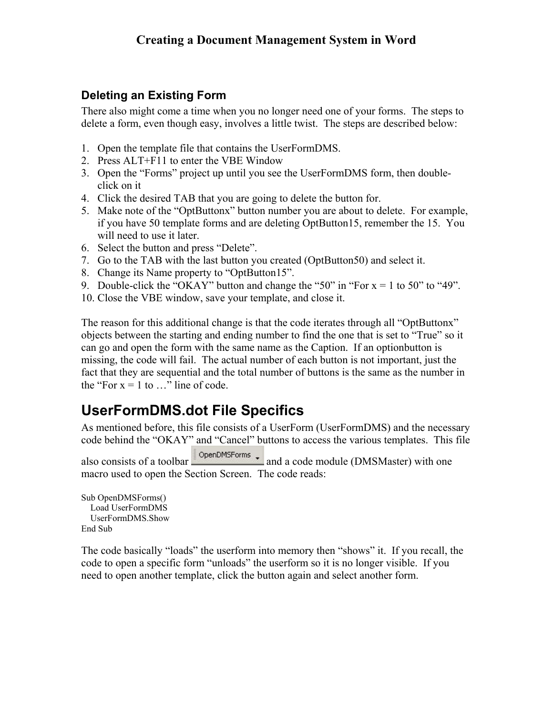### <span id="page-5-0"></span>**Deleting an Existing Form**

There also might come a time when you no longer need one of your forms. The steps to delete a form, even though easy, involves a little twist. The steps are described below:

- 1. Open the template file that contains the UserFormDMS.
- 2. Press ALT+F11 to enter the VBE Window
- 3. Open the "Forms" project up until you see the UserFormDMS form, then doubleclick on it
- 4. Click the desired TAB that you are going to delete the button for.
- 5. Make note of the "OptButtonx" button number you are about to delete. For example, if you have 50 template forms and are deleting OptButton15, remember the 15. You will need to use it later.
- 6. Select the button and press "Delete".
- 7. Go to the TAB with the last button you created (OptButton50) and select it.
- 8. Change its Name property to "OptButton15".
- 9. Double-click the "OKAY" button and change the "50" in "For  $x = 1$  to 50" to "49".
- 10. Close the VBE window, save your template, and close it.

The reason for this additional change is that the code iterates through all "OptButtonx" objects between the starting and ending number to find the one that is set to "True" so it can go and open the form with the same name as the Caption. If an optionbutton is missing, the code will fail. The actual number of each button is not important, just the fact that they are sequential and the total number of buttons is the same as the number in the "For  $x = 1$  to ..." line of code.

# **UserFormDMS.dot File Specifics**

As mentioned before, this file consists of a UserForm (UserFormDMS) and the necessary code behind the "OKAY" and "Cancel" buttons to access the various templates. This file

also consists of a toolbar  $\sqrt{\frac{20 \text{ penDMsForms}}{n}}$  and a code module (DMSMaster) with one macro used to open the Section Screen. The code reads:

```
Sub OpenDMSForms() 
  Load UserFormDMS 
  UserFormDMS.Show 
End Sub
```
The code basically "loads" the userform into memory then "shows" it. If you recall, the code to open a specific form "unloads" the userform so it is no longer visible. If you need to open another template, click the button again and select another form.